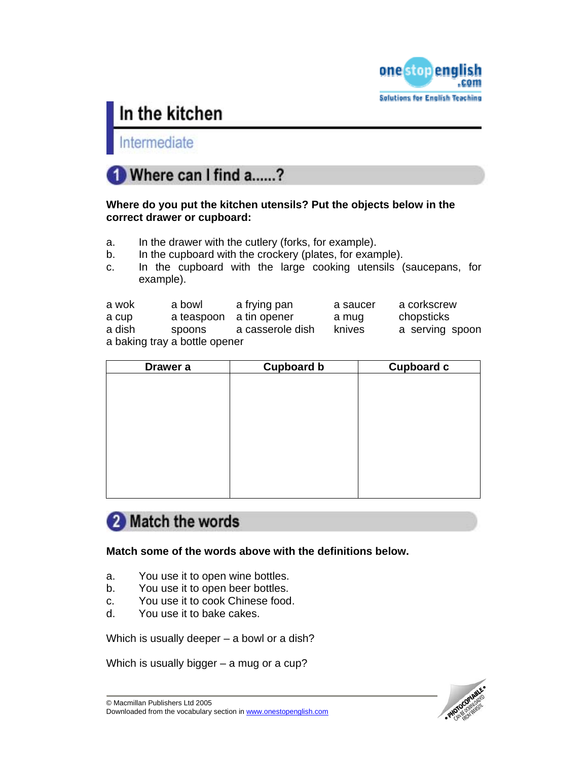

Intermediate



### **Where do you put the kitchen utensils? Put the objects below in the correct drawer or cupboard:**

- a. In the drawer with the cutlery (forks, for example).
- b. In the cupboard with the crockery (plates, for example).
- c. In the cupboard with the large cooking utensils (saucepans, for example).

| a wok                         | a bowl                  | a frying pan     | a saucer | a corkscrew     |
|-------------------------------|-------------------------|------------------|----------|-----------------|
| a cup                         | a teaspoon a tin opener |                  | a mug    | chopsticks      |
| a dish                        | spoons                  | a casserole dish | knives   | a serving spoon |
| a baking tray a bottle opener |                         |                  |          |                 |

| Drawer a | <b>Cupboard b</b> | <b>Cupboard c</b> |
|----------|-------------------|-------------------|
|          |                   |                   |
|          |                   |                   |
|          |                   |                   |
|          |                   |                   |
|          |                   |                   |
|          |                   |                   |
|          |                   |                   |
|          |                   |                   |
|          |                   |                   |

## 2 Match the words

**Match some of the words above with the definitions below.** 

- a. You use it to open wine bottles.
- b. You use it to open beer bottles.
- c. You use it to cook Chinese food.
- d. You use it to bake cakes.

Which is usually deeper – a bowl or a dish?

Which is usually bigger – a mug or a cup?

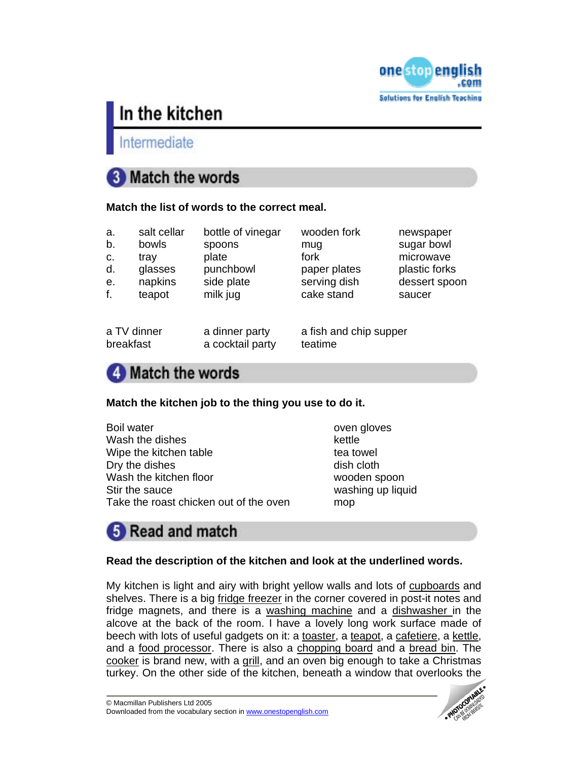

Intermediate

# **3** Match the words

### **Match the list of words to the correct meal.**

| a. | salt cellar | bottle of vinegar | wooden fork  | newspaper     |
|----|-------------|-------------------|--------------|---------------|
| b. | bowls       | spoons            | mug          | sugar bowl    |
| C. | tray        | plate             | fork         | microwave     |
| d. | glasses     | punchbowl         | paper plates | plastic forks |
| е. | napkins     | side plate        | serving dish | dessert spoon |
| f. | teapot      | milk jug          | cake stand   | saucer        |
|    |             |                   |              |               |

breakfast a cocktail party teatime

a TV dinner a dinner party a fish and chip supper

# 4 Match the words

### **Match the kitchen job to the thing you use to do it.**

| <b>Boil water</b>                      | oven o |
|----------------------------------------|--------|
| Wash the dishes                        | kettle |
| Wipe the kitchen table                 | tea to |
| Dry the dishes                         | dish c |
| Wash the kitchen floor                 | woode  |
| Stir the sauce                         | washi  |
| Take the roast chicken out of the oven | mop    |

oven gloves tea towel dish cloth wooden spoon washing up liquid

# **B** Read and match

### **Read the description of the kitchen and look at the underlined words.**

My kitchen is light and airy with bright yellow walls and lots of cupboards and shelves. There is a big fridge freezer in the corner covered in post-it notes and fridge magnets, and there is a washing machine and a dishwasher in the alcove at the back of the room. I have a lovely long work surface made of beech with lots of useful gadgets on it: a toaster, a teapot, a cafetiere, a kettle, and a food processor. There is also a chopping board and a bread bin. The cooker is brand new, with a grill, and an oven big enough to take a Christmas turkey. On the other side of the kitchen, beneath a window that overlooks the

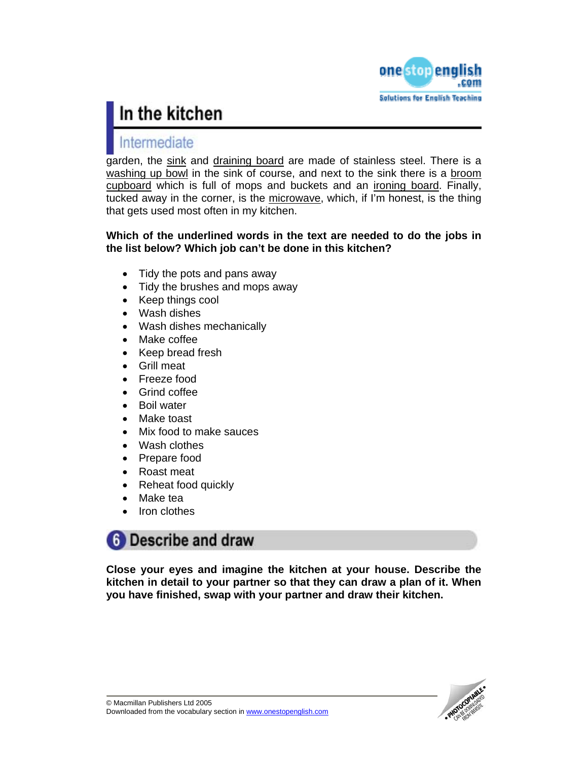

## Intermediate

garden, the sink and draining board are made of stainless steel. There is a washing up bowl in the sink of course, and next to the sink there is a broom cupboard which is full of mops and buckets and an ironing board. Finally, tucked away in the corner, is the microwave, which, if I'm honest, is the thing that gets used most often in my kitchen.

### **Which of the underlined words in the text are needed to do the jobs in the list below? Which job can't be done in this kitchen?**

- Tidy the pots and pans away
- Tidy the brushes and mops away
- Keep things cool
- Wash dishes
- Wash dishes mechanically
- Make coffee
- Keep bread fresh
- Grill meat
- Freeze food
- Grind coffee
- Boil water
- Make toast
- Mix food to make sauces
- Wash clothes
- Prepare food
- Roast meat
- Reheat food quickly
- Make tea
- Iron clothes

## **6** Describe and draw

**Close your eyes and imagine the kitchen at your house. Describe the kitchen in detail to your partner so that they can draw a plan of it. When you have finished, swap with your partner and draw their kitchen.**